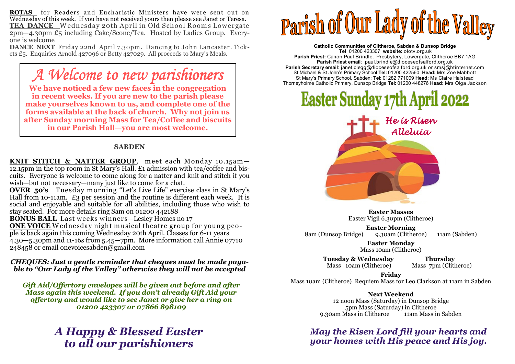**ROTAS** for Readers and Eucharistic Ministers have were sent out on Wednesday of this week. If you have not received yours then please see Janet or Teresa. **TEA DANCE\_**Wednesday 20th April in Old School Rooms Lowergate<br>2000–4.300m f5 including Cake/Scone/Tea Hosted by Ladies Group\_Every- $2pm-4.30pm$  £5 including Cake/Scone/Tea. Hosted by Ladies Group. Everyone is welcome

 **DANCE NEXT** Friday 22nd April 7.30pm . Dancing to John Lancaster. Tickets £5. Enquiries Arnold 427096 or Betty 427029. All proceeds to Mary's Meals.

## *A Welcome to new parishioners*

 **We have noticed a few new faces in the congregation in recent weeks. If you are new to the parish please make yourselves known to us, and complete one of the forms available at the back of church. Why not join us after Sunday morning Mass for Tea/Coffee and biscuits in our Parish Hall—you are most welcome.** 

#### **SABDEN**

**KNIT STITCH & NATTER GROUP**, meet each Monday 10.15am—<br>12.15pm in the top room in St Mary's Hall. £1 admission with tea/coffee and biscuits. Everyone is welcome to come along for a natter and knit and stitch if you wish—but not necessary—many just like to come for a chat.

 **OVER 50's** Tuesday m orning "Let's Live Life" exercise class in St Mary's Hall from 10-11am. £3 per session and the routine is different each week. It is social and enjoyable and suitable for all abilities, including those who wish to stay seated. For more details ring Sam on 01200 442188

**BONUS BALL** Last weeks winners-Lesley Homes no 17

**ONE VOICE** Wednesday night musical theatre group for young people is back again this coming Wednesday 20th April. Classes for 6-11 years 4.30—5.30pm and 11-16s from 5.45—7pm. More information call Annie 07710 248458 or email onevoicesabden@gmail.com

#### *CHEQUES: Just a gentle reminder that cheques must be made payable to "Our Lady of the Valley" otherwise they will not be accepted*

*Gift Aid/Offertory envelopes will be given out before and after Mass again this weekend. If you don't already Gift Aid your offertory and would like to see Janet or give her a ring on 01200 423307 or 07866 898109* 

### *A Happy & Blessed Easter to all our parishioners*

# **Parish of Our Lady of** Vallley

**Catholic Communities of Clitheroe, Sabden & Dunsop Bridge Tel** 01200 423307 **website:** olotv.org.uk **Parish Priest:** Canon Paul Brindle, Presbytery, Lowergate, Clitheroe BB7 1AG**Parish Priest email**: paul.brindle@dioceseofsalford.org.uk **Parish Secretary email**: janet.clegg@dioceseofsalford.org.uk or smsj@btinternet.com St Michael & St John's Primary School **Tel:** 01200 422560 **Head:** Mrs Zoe Mabbott St Mary's Primary School, Sabden: **Tel:** 01282 771009 **Head:** Ms Claire HalsteadThorneyholme Catholic Primary, Dunsop Bridge **Tel:** 01200 448276 **Head:** Mrs Olga Jackson

# **Easter Sunday 17th April 2022**



**Easter Masses** Easter Vigil 6.30pm (Clitheroe)

**Easter Morning** 9.30am (Clitheroe) 8am (Dunsop Bridge) 9.30am (Clitheroe) 11am (Sabden)

> **Easter Monday** Mass 10am (Clitheroe)

 **Tuesday & Wednesday Thursday** Mass 10am (Clitheroe)

Mass 7pm (Clitheroe)

**Friday** Mass 10am (Clitheroe) Requiem Mass for Leo Clarkson at 11am in Sabden

#### **Next Weekend**

 12 noon Mass (Saturday) in Dunsop Bridge 5pm Mass (Saturday) in Clitheroe 11am Mass in Sabden 9.30am Mass in Clitheroe

*May the Risen Lord fill your hearts and your homes with His peace and His joy.*